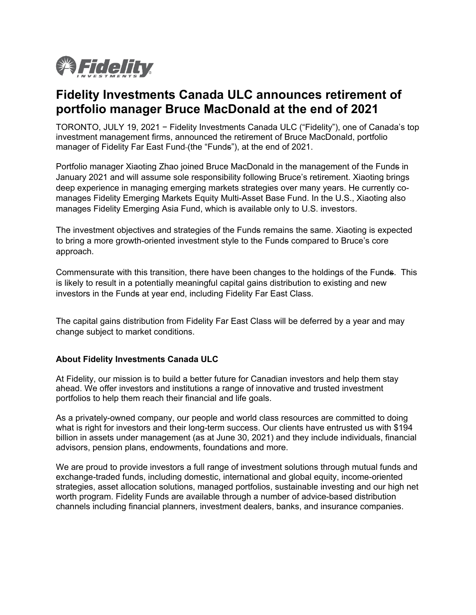

## **Fidelity Investments Canada ULC announces retirement of portfolio manager Bruce MacDonald at the end of 2021**

TORONTO, JULY 19, 2021 − Fidelity Investments Canada ULC ("Fidelity"), one of Canada's top investment management firms, announced the retirement of Bruce MacDonald, portfolio manager of Fidelity Far East Fund-(the "Funds"), at the end of 2021.

Portfolio manager Xiaoting Zhao joined Bruce MacDonald in the management of the Funds in January 2021 and will assume sole responsibility following Bruce's retirement. Xiaoting brings deep experience in managing emerging markets strategies over many years. He currently comanages Fidelity Emerging Markets Equity Multi-Asset Base Fund. In the U.S., Xiaoting also manages Fidelity Emerging Asia Fund, which is available only to U.S. investors.

The investment objectives and strategies of the Funds remains the same. Xiaoting is expected to bring a more growth-oriented investment style to the Funds compared to Bruce's core approach.

Commensurate with this transition, there have been changes to the holdings of the Funds. This is likely to result in a potentially meaningful capital gains distribution to existing and new investors in the Funds at year end, including Fidelity Far East Class.

The capital gains distribution from Fidelity Far East Class will be deferred by a year and may change subject to market conditions.

## **About Fidelity Investments Canada ULC**

At Fidelity, our mission is to build a better future for Canadian investors and help them stay ahead. We offer investors and institutions a range of innovative and trusted investment portfolios to help them reach their financial and life goals.

As a privately-owned company, our people and world class resources are committed to doing what is right for investors and their long-term success. Our clients have entrusted us with \$194 billion in assets under management (as at June 30, 2021) and they include individuals, financial advisors, pension plans, endowments, foundations and more.

We are proud to provide investors a full range of investment solutions through mutual funds and exchange-traded funds, including domestic, international and global equity, income-oriented strategies, asset allocation solutions, managed portfolios, sustainable investing and our high net worth program. Fidelity Funds are available through a number of advice-based distribution channels including financial planners, investment dealers, banks, and insurance companies.